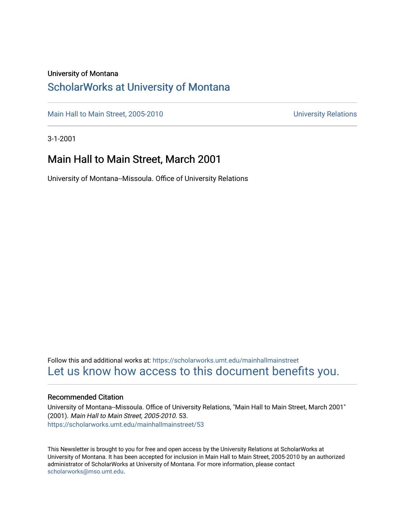#### University of Montana

#### [ScholarWorks at University of Montana](https://scholarworks.umt.edu/)

[Main Hall to Main Street, 2005-2010](https://scholarworks.umt.edu/mainhallmainstreet) Main Hall to Main Street, 2005-2010

3-1-2001

#### Main Hall to Main Street, March 2001

University of Montana--Missoula. Office of University Relations

Follow this and additional works at: [https://scholarworks.umt.edu/mainhallmainstreet](https://scholarworks.umt.edu/mainhallmainstreet?utm_source=scholarworks.umt.edu%2Fmainhallmainstreet%2F53&utm_medium=PDF&utm_campaign=PDFCoverPages) [Let us know how access to this document benefits you.](https://goo.gl/forms/s2rGfXOLzz71qgsB2) 

#### Recommended Citation

University of Montana--Missoula. Office of University Relations, "Main Hall to Main Street, March 2001" (2001). Main Hall to Main Street, 2005-2010. 53. [https://scholarworks.umt.edu/mainhallmainstreet/53](https://scholarworks.umt.edu/mainhallmainstreet/53?utm_source=scholarworks.umt.edu%2Fmainhallmainstreet%2F53&utm_medium=PDF&utm_campaign=PDFCoverPages) 

This Newsletter is brought to you for free and open access by the University Relations at ScholarWorks at University of Montana. It has been accepted for inclusion in Main Hall to Main Street, 2005-2010 by an authorized administrator of ScholarWorks at University of Montana. For more information, please contact [scholarworks@mso.umt.edu.](mailto:scholarworks@mso.umt.edu)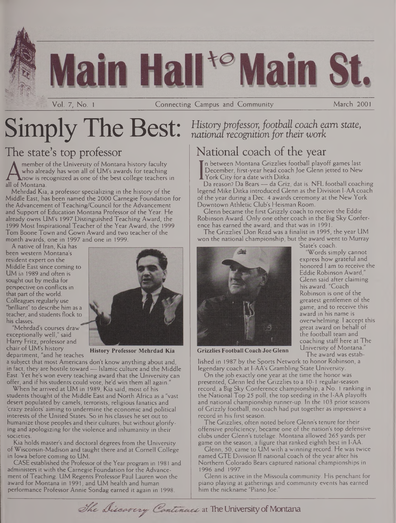# **in Hall<sup>te</sup> Main St**

Vol. 7, No. <sup>1</sup> Connecting Campus and Community March 2001

# $Simply$  The Best: History professor, football coach earn state,

## The state's top professor

A who already ha<br>all of Montana.<br>Mehrdad Kia a pro member of the University of Montana history faculty who already has won all of UM's awards for teaching now is recognized as one of the best college teachers in

Mehrdad Kia, a professor specializing in the history of the Middle East, has been named the 2000 Carnegie Foundation for the Advancement of Teaching/Council for the Advancement and Support of Education Montana Professor of the Year. He already owns UM's 1997 Distinguished Teaching Award, the 1999 Most Inspirational Teacher of the Year Award, the 1999 Tom Boone Town and Gown Award and two teacher of the month awards, one in 1997 and one in 1999.

A native of Iran, Kia has been western Montana's resident expert on the Middle East since coming to UM in 1989 and often is sought out by media for perspective on conflicts in that part of the world. Colleagues regularly use "brilliant" to describe him as a teacher, and students flock to his classes.

"Mehrdad's courses draw exceptionally well," said Harry Fritz, professor and chair of UM's history department, "and he teaches



**History Professor Mehrdad Kia**

a subject that most Americans don't know anything about and, in fact, they are hostile toward— Islamic culture and the Middle East. Yet he's won every teaching award that the University can offer, and if his students could vote, he'd win them all again."

When he arrived at UM in 1989, Kia said, most of his students thought of the Middle East and North Africa as a "vast desert populated by camels, terrorists, religious fanatics and 'crazy zealots' aiming to undermine the economic and political interests of the United States. So in his classes he set out to humanize those peoples and their cultures, but without glorifying and apologizing for the violence and inhumanity in their societies.

Kia holds master's and doctoral degrees from the University of Wisconsin-Madison and taught there and at Cornell College in Iowa before coming to UM.

CASE established the Professor of the Year program in 1981 and administers it with the Carnegie Foundation for the Advancement of Teaching. UM Regents Professor Paul Lauren won the award for Montana in 1991, and UM health and human performance Professor Annie Sondag earned it again in 1998.

*national recognition for their work*

## National coach of the year

n between Montana Grizzlies football playoff games last December, first-year head coach Joe Glenn jetted to New York City for a date with Ditka.

I York City for a date with Ditka.<br>Da reason? Da Bears — da Griz, dat is. NFL football coaching legend Mike Ditka introduced Glenn as the Division I-AA coach of the year during a Dec. 4 awards ceremony at the New York Downtown Athletic Club's Heisman Room.

Glenn became the first Grizzly coach to receive the Eddie Robinson Award. Only one other coach in the Big Sky Conference has earned the award, and that was in 1991.

The Grizzlies' Don Read was a finalist in 1995, the year UM won the national championship, but the award went to Murray State's coach.



express how grateful and honored <sup>I</sup> am to receive the Eddie Robinson Award," Glenn said after claiming his award. "Coach Robinson is one of the greatest gentlemen of the game, and to receive this award in his name is overwhelming. <sup>I</sup> accept this great award on behalf of the football team and coaching staff here at The

"Words simply cannot

University of Montana." The award was estab-

lished in 1987 by the Sports Network to honor Robinson, a legendary coach at I-AA's Grambling State University.

On the job exactly one year at the time the honor was presented, Glenn led the Grizzlies to a 10-1 regular-season record, a Big Sky Conference championship, a No. <sup>1</sup> ranking in the National Top 25 poll, the top seeding in the I-AA playoffs and national championship runner-up. In the 103 prior seasons of Grizzly football, no coach had put together as impressive a record in his first season.

The Grizzlies, often noted before Glenn's tenure for their offensive proficiency, became one of the nation's top defensive clubs under Glenn's tutelage. Montana allowed 265 yards per game on the season, a figure that ranked eighth best in I-AA.

Glenn, 50, came to UM with a winning record. He was twice named GTE Division II national coach of the year after his Northern Colorado Bears captured national championships in 1996 and 1997.

Glenn is active in the Missoula community. His penchant for piano playing at gatherings and community events has earned him the nickname "Piano Joe.

The Discarcry Continues at The University of Montana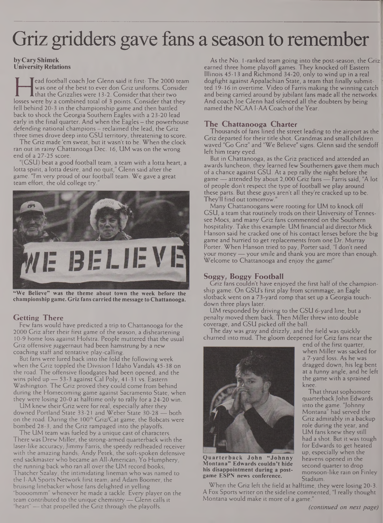# Griz gridders gave fans a season to remember

#### **byCaryShimek University Relations**

was one of the best to ever don Griz uniforms. Consider<br>that the Grizzlies were 13-2. Consider that their two<br>osses were by a combined total of 3 points. Consider that they<br>fell behind 20-3 in the championship game and the ead football coach Joe Glenn said it first: The 2000 team was one of the best to ever don Griz uniforms. Consider that the Grizzlies were 13-2. Consider that their two fell behind 20-3 in the championship game and then battled back to shock the Georgia Southern Eagles with a 23-20 lead early in the final quarter. And when the Eagles — the powerhouse defending national champions — reclaimed the lead, the Griz three times drove deep into GSU territory, threatening to score.

The Griz made 'em sweat, but it wasn't to be. When the clock ran out in rainy Chattanooga Dec. 16, UM was on the wrong end of a 27-25 score.

"(GSU) beat a good football team, a team with a lotta heart, a lotta spirit, a lotta desire, and no quit," Glenn said after the game. "I'm very proud of our football team. We gave a great team effort, the old college try.



**"We Believe" was the theme about town the week before the championship game. Griz fans carried the message to Chattanooga.**

#### **Getting There**

Few fans would have predicted a trip to Chattanooga for the 2000 Griz after their first game of the season, a disheartening 10-9 home loss against Hofstra. People muttered that the usual Griz offensive juggernaut had been hamstrung by a new coaching staff and tentative play-calling.

But fans were lured back into the fold the following week when the Griz toppled the Division <sup>1</sup> Idaho Vandals 45-38 on the road. The offensive floodgates had been opened, and the wins piled up — 53-3 against Cal Poly, 41-31 vs. Eastern Washington. The Griz proved they could come from behind during the Homecoming game against Sacramento State, when they were losing 20-0 at halftime only to rally for a 24-20 win.

UM knew their Griz were for real, especially after they downed Portland State 33-21 and Weber State 30-28 — both on the road. During the 100<sup>th</sup> Griz/Cat game, the Bobcats were bombed 28-3, and the Griz rampaged into the playoffs.

The UM team was fueled by a unique cast of characters. There was Drew Miller, the strong-armed quarterback with the laser-like accuracy, Jimmy Farris, the speedy redheaded receiver with the amazing hands, Andy Petek, the soft-spoken defensive end sackmaster who became an All-American, Yo Humphery, the running back who ran all over the UM record books, Thatcher Szalay, the intimidating lineman who was named to the I-AA Sports Network first team, and Adam Boomer, the bruising linebacker whose fans delighted in yelling "boooommm" whenever he made a tackle. Every player on the team contributed to the unique chemistry— Glenn calls it "heart" — that propelled the Griz through the playoffs.

As the No. 1-ranked team going into the post-season, the Griz earned three home playoff games. They knocked off Eastern Illinois 45-13 and Richmond 34-20, only to wind up in a real dogfight against Appalachian State, a team that finally submitted 19-16 in overtime. Video of Farris making the winning catch | and being carried around by jubilant fans made all the networks. And coach Joe Glenn had silenced all the doubters by being named the NCAA I-AA Coach of the Year.

#### **The Chattanooga Charter**

Thousands of fans lined the street leading to the airport as the Griz departed for their title shot. Grandmas and small children waved "Go Griz" and "We Believe" signs. Glenn said the sendoff left him teary eyed.

But in Chattanooga, as the Griz practiced and attended an awards luncheon, they learned few Southerners gave them much of a chance against GSU. At a pep rally the night before the game — attended by about 2,000 Griz fans — Farris said, "A lot of people don't respect the type of football we play around these parts. But these guys aren't all they're cracked up to be. They'll find out tomorrow/'

Many Chattanoogans were rooting for UM to knock off GSU, a team that routinely trods on their University of Tennessee Moes, and many Griz fans commented on the Southern hospitality. Take this example: UM financial aid director Mick Hanson said he cracked one of his contact lenses before the big game and hurried to get replacements from one Dr. Murray Porter. When Hanson tried to pay, Porter said, "I don't need your money —your smile and thank you are more than enough. Welcome to Chattanooga and enjoy the game!"

#### **Soggy, Boggy Football**

Griz fans couldn't have enjoyed the first half of the championship game. On GSU's first play from scrimmage, an Eagle slotback went on a 73-yard romp that set up a Georgia touchdown three plays later.

UM responded by driving to the GSU 6-yard line, but a penalty moved them back. Then Miller threw into double coverage, and GSU picked off the ball.

The day was gray and drizzly, and the field was quickly churned into mud. The gloom deepened for Griz fans near the



**Quarterback John "Johnny Montana" Edwards couldn't hide his disappointment during a postgame ESPN news conference.**

When the Griz left the field at halftime, they were losing 20-3. A Fox Sports writer on the sideline commented, "I really thought Montana would make it more of a game."

end of the first quarter, when Miller was sacked for a 7-yard loss. As he was dragged down, his leg bent at a funny angle, and he left the game with a sprained knee.

That thrust sophomore quarterbackJohn Edwards into the game. "Johnny Montana" had served the Griz admirably in a backup role during the year, and UM fans knew they still had a shot. But it was tough for Edwards to get heated up, especially when the heavens opened in the second quarter to drop monsoon-like rain on Finley Stadium.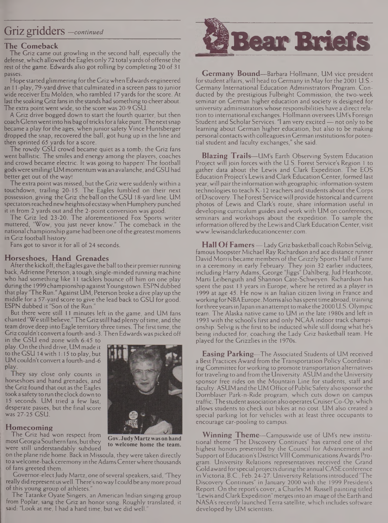### Griz gridders —*continued*

#### **The Comeback**

The Griz came out growling in the second half, especially the defense, which allowed the Eagles only 72 total yards of offense the rest of the game. Edwards also got rolling by completing 20 of 31 passes.

Hope started glimmering for the Griz when Edwards engineered an 11-play, 79-yard drive that culminated in a screen pass to junior wide receiver Etu Molden, who rambled 17 yards for the score. At last the soaking Griz fans in the stands had something to cheer about. The extra point went wide, so the score was 20-9 GSL1.

A Griz drive bogged down to start the fourth quarter, but then coach Glenn went into his bag of tricks for a fake punt. The next snap became a play for the ages, when junior safety Vince Huntsberger dropped the snap, recovered the ball, got hung up in the line and then sprinted 65 yards for a score.

The rowdy GSU crowd became quiet as a tomb, the Griz fans went ballistic. The smiles and energy among the players, coaches and crowd became electric. It was going to happen! The football godswere smiling! UM momentumwas an avalanche, and GSU had better get out of the way!

The extra point was missed, but the Griz were suddenly within a touchdown, trailing 20-15. The Eagles fumbled on their next possession, giving the Griz the ball on the GSU 18-yard line. UM spectators reached new heights of ecstasy when Humphery punched it in from 2 yards out and the 2-point conversion was good.

The Griz led 23-20. The aforementioned Fox Sports writer muttered, "Wow, you just never know." The comeback in the national championship game had been one of the greatest moments in Griz football history.

Fans got to savor it for all of 24 seconds.

#### **Horseshoes, Hand Grenades**

After the kickoff, the Eagles gave the ball to their premier running back, Adrienne Peterson, a tough, single-minded runningmachine who had something like <sup>11</sup> tacklers bounce off him on one play during the 1999 championship against Youngstown. ESPN dubbed that play 'The Run." Against UM, Peterson broke a dive play up the middle for a 57-yard score to give the lead back to GSU for good. ESPN dubbed it "Son of the Run."

But there were still 11 minutes left in the game, and UM fans chanted "We still believe." The Griz still had plenty of time, and the team drove deep into Eagle territory three times. The first time, the Griz couldn't convert a fourth-and-3. Then Edwards was picked off

in the GSU end zone with 6:45 to play. On the thirddrive, UMmade it to the GSU 14 with 1:15 to play, but UM couldn't convert a fourth-and-6

They say close only counts in horseshoes and hand grenades, and the Griz found that out as the Eagles took a safety to run the clock down to 15 seconds. UM tried a few last, desperate passes, but the final score was 27-25 GSU

#### **Homecoming**

The Griz had won respect from most Georgia Southern fans, but they were still understandably subdued

on the plane ride home. Back in Missoula, they were taken directly to a welcome-back ceremony in the Adams Center where thousands of fans greeted them.

Governor-elect Judy Martz, one of several speakers, said, 'They really did represent us well. There's no way I could be any more proud of this young group of athletes.

The Tatanke Oyate Singers, an American Indian singing group from Poplar, sang the Griz an honor song. Roughly translated, it said: "Look at me, I had a hard time, but we did well.



**Gov.JudyMartzwason hand to welcome home the team.**



**Germany Bound—**Barbara Hollmann, UM vice president forstudent affairs, will head to Germany in May forthe 2001 U.S.- Germany International Education Administrators Program. Conducted by the prestigious Fulbright Commission, the two-week seminar on German higher education and society is designed for university administrators whose responsibilities have a direct relation to international exchanges. Hollmann oversees UM's Foreign Student and Scholar Services. "I am very excited— not only to be learning about German higher education, but also to be making personal contactswith colleaguesin German institutionsfor potential student and faculty exchanges," she said.

**Blazing Trails—**UM's Earth Observing System Education Project will join forces with the U.S. Forest Service's Region <sup>1</sup> to gather data about the Lewis and Clark Expedition. The EOS Education Project's Lewis and Clark Education Center, formed last year,will pairthe information with geographic-information-system technologies to teach K-12 teachers and students about the Corps ofDiscovery. The Forest Servicewill provide historical andcurrent photos of Lewis and Clark's route, share information useful in developing curriculum guides and work with UM on conferences, seminars and workshops about the expedition. To sample the information offered by the Lewis and Clark Education Center, visit [www.lewisandclarkeducationcenter.com](http://www.lewisandclarkeducationcenter.com).

**Hall Of Famers—**Lady Griz basketball coach Robin Selvig, famous hoopster Michael Ray Richardson and ace distance runner David Morris became members of the Grizzly Sports Hall of Fame in a ceremony in early February. They join 32 earlier inductees, including Harry Adams, George "Jiggs" Dahlberg, Jud Heathcote, Marti Leibenguth and Shannon Cate-Schweyen. Richardson has spent the past 13 years in Europe, where he retired as a player in 1999 at age 45. He now is an Italian citizen living in France and working for NBA Europe. Morris also has spent time abroad, training for three years in Japan in an attempt to make the 2000 U.S. Olympic team. The Alaska native came to UM in the late 1980s and left in 1993 with the school's first and only NCAA indoor track championship. Selvig is the first to be inducted while still doing what he's being inducted for, coaching the Lady Griz basketball team. He played for the Grizzlies in the 1970s.

**Easing Parking—**The Associated Students of UM received a Best Practices Award from theTransportation Policy Coordinating Committee for working to promote transportation alternatives for traveling to and from the University. ASUM and the University sponsor free rides on the Mountain Line for students, staff and faculty. ASUM and the UM Office of Public Safety also sponsor the Domblaser Park-n-Ride program, which cuts down on campus traffic.Thestudent association also operatesCruiserCo-Op, which allows students to check out bikes at no cost. UM also created a special parking lot for vehicles with at least three occupants to encourage car-pooling to campus.

**Winning Theme—**Campuswide use of UM's new institutional theme 'The Discovery Continues" has earned one of the highest honors presented by the Council for Advancement and Support of Education's District VIII Communications Awards Program. University Relations representatives received the Grand Gold award for special projects during the annual CASE conference in Victoria, B.C., Feb. 24-27. University Relations introduced "The Discovery Continues" in January 2000 with the 1999 President's Report. On the report's cover, a Charles M. Russell painting titled Lewis and Clark Expedition" merges into an image of the Earth and NASA's recently launched Terra satellite, which includes software developed by UM scientists.